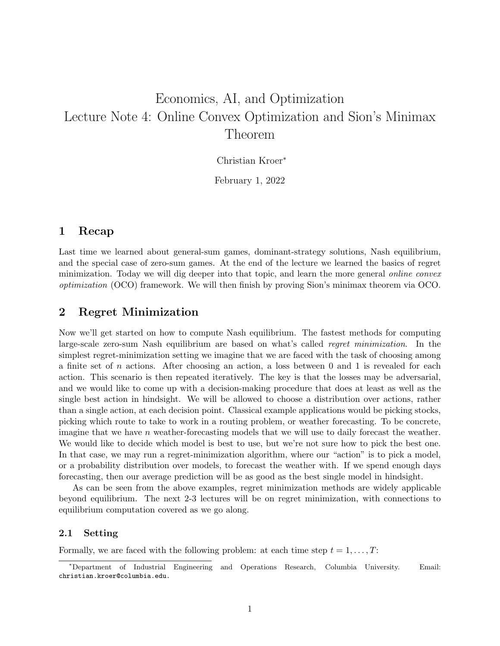# Economics, AI, and Optimization Lecture Note 4: Online Convex Optimization and Sion's Minimax Theorem

Christian Kroer<sup>∗</sup>

February 1, 2022

#### 1 Recap

Last time we learned about general-sum games, dominant-strategy solutions, Nash equilibrium, and the special case of zero-sum games. At the end of the lecture we learned the basics of regret minimization. Today we will dig deeper into that topic, and learn the more general online convex optimization (OCO) framework. We will then finish by proving Sion's minimax theorem via OCO.

#### 2 Regret Minimization

Now we'll get started on how to compute Nash equilibrium. The fastest methods for computing large-scale zero-sum Nash equilibrium are based on what's called regret minimization. In the simplest regret-minimization setting we imagine that we are faced with the task of choosing among a finite set of n actions. After choosing an action, a loss between 0 and 1 is revealed for each action. This scenario is then repeated iteratively. The key is that the losses may be adversarial, and we would like to come up with a decision-making procedure that does at least as well as the single best action in hindsight. We will be allowed to choose a distribution over actions, rather than a single action, at each decision point. Classical example applications would be picking stocks, picking which route to take to work in a routing problem, or weather forecasting. To be concrete, imagine that we have n weather-forecasting models that we will use to daily forecast the weather. We would like to decide which model is best to use, but we're not sure how to pick the best one. In that case, we may run a regret-minimization algorithm, where our "action" is to pick a model, or a probability distribution over models, to forecast the weather with. If we spend enough days forecasting, then our average prediction will be as good as the best single model in hindsight.

As can be seen from the above examples, regret minimization methods are widely applicable beyond equilibrium. The next 2-3 lectures will be on regret minimization, with connections to equilibrium computation covered as we go along.

#### 2.1 Setting

Formally, we are faced with the following problem: at each time step  $t = 1, \ldots, T$ :

<sup>∗</sup>Department of Industrial Engineering and Operations Research, Columbia University. Email: christian.kroer@columbia.edu.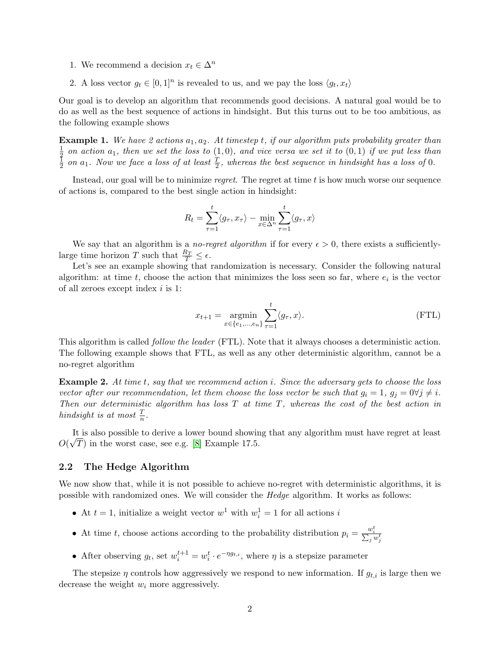- 1. We recommend a decision  $x_t \in \Delta^n$
- 2. A loss vector  $g_t \in [0,1]^n$  is revealed to us, and we pay the loss  $\langle g_t, x_t \rangle$

Our goal is to develop an algorithm that recommends good decisions. A natural goal would be to do as well as the best sequence of actions in hindsight. But this turns out to be too ambitious, as the following example shows

**Example 1.** We have 2 actions  $a_1, a_2$ . At timestep t, if our algorithm puts probability greater than 1  $\frac{1}{2}$  on action  $a_1$ , then we set the loss to  $(1,0)$ , and vice versa we set it to  $(0,1)$  if we put less than  $\frac{1}{4}$  on  $a_1$ . Now we face a loss of at least  $\frac{T}{2}$  whereas the hest sequence in hindsight has a  $\frac{1}{2}$  on  $a_1$ . Now we face a loss of at least  $\frac{T}{2}$ , whereas the best sequence in hindsight has a loss of 0.

Instead, our goal will be to minimize regret. The regret at time t is how much worse our sequence of actions is, compared to the best single action in hindsight:

$$
R_t = \sum_{\tau=1}^t \langle g_\tau, x_\tau \rangle - \min_{x \in \Delta^n} \sum_{\tau=1}^t \langle g_\tau, x \rangle
$$

We say that an algorithm is a no-regret algorithm if for every  $\epsilon > 0$ , there exists a sufficientlylarge time horizon T such that  $\frac{R_T}{T} \leq \epsilon$ .

Let's see an example showing that randomization is necessary. Consider the following natural algorithm: at time  $t$ , choose the action that minimizes the loss seen so far, where  $e_i$  is the vector of all zeroes except index i is 1:

$$
x_{t+1} = \underset{x \in \{e_1, \dots, e_n\}}{\operatorname{argmin}} \sum_{\tau=1}^t \langle g_\tau, x \rangle.
$$
 (FTL)

This algorithm is called *follow the leader* (FTL). Note that it always chooses a deterministic action. The following example shows that FTL, as well as any other deterministic algorithm, cannot be a no-regret algorithm

**Example 2.** At time t, say that we recommend action i. Since the adversary gets to choose the loss vector after our recommendation, let them choose the loss vector be such that  $g_i = 1$ ,  $g_j = 0 \forall j \neq i$ . Then our deterministic algorithm has loss  $T$  at time  $T$ , whereas the cost of the best action in hindsight is at most  $\frac{T}{n}$ .

It is also possible to derive a lower bound showing that any algorithm must have regret at least  $O(\sqrt{T})$  in the worst case, see e.g. [\[8\]](#page-9-0) Example 17.5.

#### 2.2 The Hedge Algorithm

We now show that, while it is not possible to achieve no-regret with deterministic algorithms, it is possible with randomized ones. We will consider the Hedge algorithm. It works as follows:

- At  $t = 1$ , initialize a weight vector  $w^1$  with  $w_i^1 = 1$  for all actions i
- At time t, choose actions according to the probability distribution  $p_i = \frac{w_i^t}{\sum_j w_j^t}$
- After observing  $g_t$ , set  $w_i^{t+1} = w_i^t \cdot e^{-\eta g_{t,i}}$ , where  $\eta$  is a stepsize parameter

The stepsize  $\eta$  controls how aggressively we respond to new information. If  $g_{t,i}$  is large then we decrease the weight  $w_i$  more aggressively.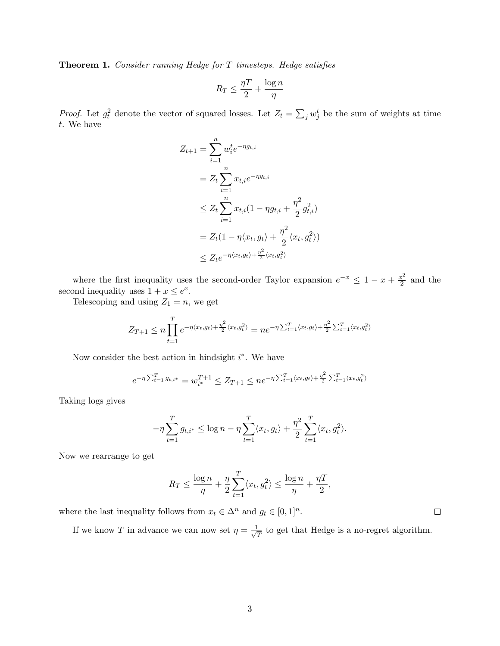Theorem 1. Consider running Hedge for T timesteps. Hedge satisfies

$$
R_T \leq \frac{\eta T}{2} + \frac{\log n}{\eta}
$$

*Proof.* Let  $g_t^2$  denote the vector of squared losses. Let  $Z_t = \sum_j w_j^t$  be the sum of weights at time t. We have

$$
Z_{t+1} = \sum_{i=1}^{n} w_i^t e^{-\eta g_{t,i}}
$$
  
=  $Z_t \sum_{i=1}^{n} x_{t,i} e^{-\eta g_{t,i}}$   
 $\leq Z_t \sum_{i=1}^{n} x_{t,i} (1 - \eta g_{t,i} + \frac{\eta^2}{2} g_{t,i}^2)$   
=  $Z_t (1 - \eta \langle x_t, g_t \rangle + \frac{\eta^2}{2} \langle x_t, g_t^2 \rangle)$   
 $\leq Z_t e^{-\eta \langle x_t, g_t \rangle + \frac{\eta^2}{2} \langle x_t, g_t^2 \rangle}$ 

where the first inequality uses the second-order Taylor expansion  $e^{-x} \leq 1 - x + \frac{x^2}{2}$  $rac{v^2}{2}$  and the second inequality uses  $1 + x \leq e^x$ .

Telescoping and using  $Z_1 = n$ , we get

$$
Z_{T+1} \le n \prod_{t=1}^T e^{-\eta \langle x_t, g_t \rangle + \frac{\eta^2}{2} \langle x_t, g_t^2 \rangle} = n e^{-\eta \sum_{t=1}^T \langle x_t, g_t \rangle + \frac{\eta^2}{2} \sum_{t=1}^T \langle x_t, g_t^2 \rangle}
$$

Now consider the best action in hindsight  $i^*$ . We have

$$
e^{-\eta \sum_{t=1}^{T} g_{t,i^*}} = w_{i^*}^{T+1} \le Z_{T+1} \le ne^{-\eta \sum_{t=1}^{T} \langle x_t, g_t \rangle + \frac{\eta^2}{2} \sum_{t=1}^{T} \langle x_t, g_t^2 \rangle}
$$

Taking logs gives

$$
-\eta \sum_{t=1}^{T} g_{t,i^{*}} \leq \log n - \eta \sum_{t=1}^{T} \langle x_{t}, g_{t} \rangle + \frac{\eta^{2}}{2} \sum_{t=1}^{T} \langle x_{t}, g_{t}^{2} \rangle.
$$

Now we rearrange to get

$$
R_T \le \frac{\log n}{\eta} + \frac{\eta}{2} \sum_{t=1}^T \langle x_t, g_t^2 \rangle \le \frac{\log n}{\eta} + \frac{\eta T}{2},
$$

where the last inequality follows from  $x_t \in \Delta^n$  and  $g_t \in [0,1]^n$ .

If we know T in advance we can now set  $\eta = \frac{1}{\beta}$  $\frac{1}{T}$  to get that Hedge is a no-regret algorithm.

 $\Box$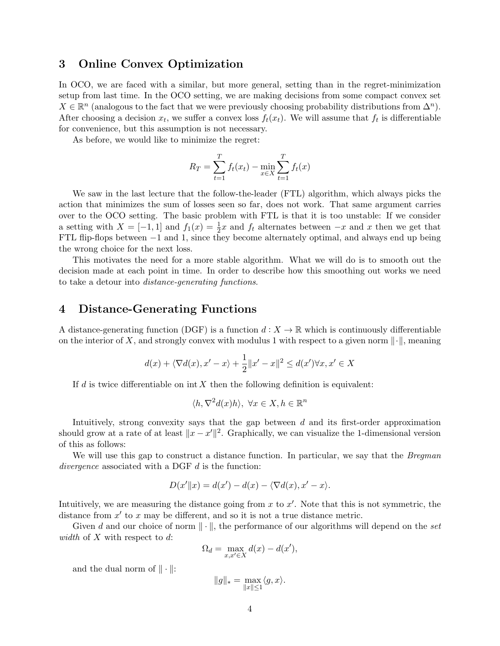## 3 Online Convex Optimization

In OCO, we are faced with a similar, but more general, setting than in the regret-minimization setup from last time. In the OCO setting, we are making decisions from some compact convex set  $X \in \mathbb{R}^n$  (analogous to the fact that we were previously choosing probability distributions from  $\Delta^n$ ). After choosing a decision  $x_t$ , we suffer a convex loss  $f_t(x_t)$ . We will assume that  $f_t$  is differentiable for convenience, but this assumption is not necessary.

As before, we would like to minimize the regret:

$$
R_T = \sum_{t=1}^{T} f_t(x_t) - \min_{x \in X} \sum_{t=1}^{T} f_t(x)
$$

We saw in the last lecture that the follow-the-leader (FTL) algorithm, which always picks the action that minimizes the sum of losses seen so far, does not work. That same argument carries over to the OCO setting. The basic problem with FTL is that it is too unstable: If we consider a setting with  $X = [-1, 1]$  and  $f_1(x) = \frac{1}{2}x$  and  $f_t$  alternates between  $-x$  and x then we get that FTL flip-flops between −1 and 1, since they become alternately optimal, and always end up being the wrong choice for the next loss.

This motivates the need for a more stable algorithm. What we will do is to smooth out the decision made at each point in time. In order to describe how this smoothing out works we need to take a detour into distance-generating functions.

## 4 Distance-Generating Functions

A distance-generating function (DGF) is a function  $d: X \to \mathbb{R}$  which is continuously differentiable on the interior of X, and strongly convex with modulus 1 with respect to a given norm  $\|\cdot\|$ , meaning

$$
d(x) + \langle \nabla d(x), x' - x \rangle + \frac{1}{2} ||x' - x||^2 \le d(x') \forall x, x' \in X
$$

If d is twice differentiable on  $int X$  then the following definition is equivalent:

$$
\langle h, \nabla^2 d(x)h \rangle, \ \forall x \in X, h \in \mathbb{R}^n
$$

Intuitively, strong convexity says that the gap between d and its first-order approximation should grow at a rate of at least  $||x - x'||^2$ . Graphically, we can visualize the 1-dimensional version of this as follows:

We will use this gap to construct a distance function. In particular, we say that the *Bregman* divergence associated with a DGF  $d$  is the function:

$$
D(x'||x) = d(x') - d(x) - \langle \nabla d(x), x' - x \rangle.
$$

Intuitively, we are measuring the distance going from  $x$  to  $x'$ . Note that this is not symmetric, the distance from  $x'$  to  $x$  may be different, and so it is not a true distance metric.

Given d and our choice of norm  $\|\cdot\|$ , the performance of our algorithms will depend on the set width of  $X$  with respect to  $d$ :

$$
\Omega_d = \max_{x, x' \in X} d(x) - d(x'),
$$

and the dual norm of  $\|\cdot\|$ :

$$
\|g\|_*=\max_{\|x\|\leq 1}\langle g,x\rangle.
$$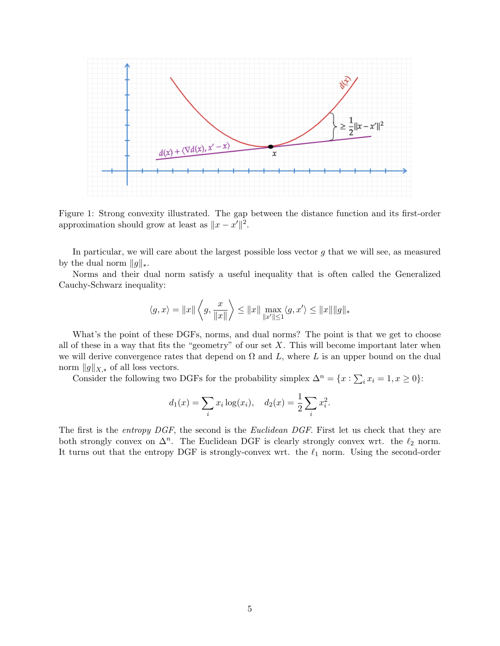

Figure 1: Strong convexity illustrated. The gap between the distance function and its first-order approximation should grow at least as  $||x - x'||^2$ .

In particular, we will care about the largest possible loss vector  $g$  that we will see, as measured by the dual norm  $||g||_*$ .

Norms and their dual norm satisfy a useful inequality that is often called the Generalized Cauchy-Schwarz inequality:

$$
\langle g, x \rangle = ||x|| \left\langle g, \frac{x}{||x||} \right\rangle \le ||x|| \max_{||x'|| \le 1} \langle g, x' \rangle \le ||x|| ||g||_*
$$

What's the point of these DGFs, norms, and dual norms? The point is that we get to choose all of these in a way that fits the "geometry" of our set  $X$ . This will become important later when we will derive convergence rates that depend on  $\Omega$  and  $L$ , where  $L$  is an upper bound on the dual norm  $||g||_{X,*}$  of all loss vectors.

Consider the following two DGFs for the probability simplex  $\Delta^n = \{x : \sum_i x_i = 1, x \ge 0\}$ :

$$
d_1(x) = \sum_i x_i \log(x_i), \quad d_2(x) = \frac{1}{2} \sum_i x_i^2.
$$

The first is the entropy DGF, the second is the Euclidean DGF. First let us check that they are both strongly convex on  $\Delta^n$ . The Euclidean DGF is clearly strongly convex wrt. the  $\ell_2$  norm. It turns out that the entropy DGF is strongly-convex wrt. the  $\ell_1$  norm. Using the second-order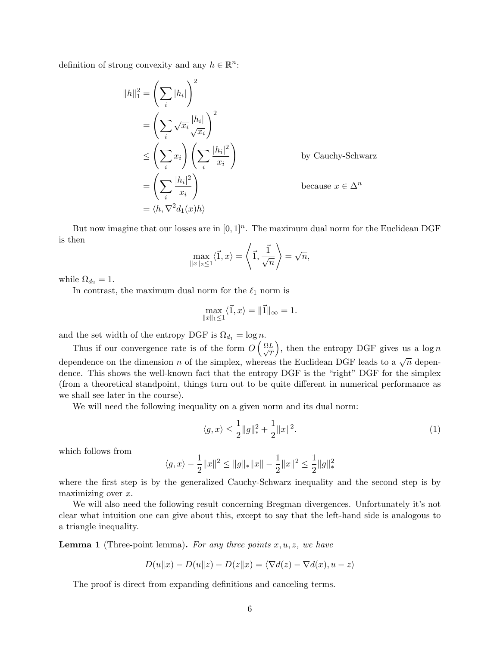definition of strong convexity and any  $h \in \mathbb{R}^n$ :

$$
||h||_1^2 = \left(\sum_i |h_i|\right)^2
$$
  
=  $\left(\sum_i \sqrt{x_i} \frac{|h_i|}{\sqrt{x_i}}\right)^2$   
 $\leq \left(\sum_i x_i\right) \left(\sum_i \frac{|h_i|^2}{x_i}\right)$  by Cauchy-Schwarz  
=  $\left(\sum_i \frac{|h_i|^2}{x_i}\right)$  because  $x \in \Delta^n$   
=  $\langle h, \nabla^2 d_1(x)h \rangle$ 

But now imagine that our losses are in  $[0,1]^n$ . The maximum dual norm for the Euclidean DGF is then

$$
\max_{\|x\|_2\leq 1}\langle \vec{1}, x\rangle = \left\langle \vec{1}, \frac{\vec{1}}{\sqrt{n}} \right\rangle = \sqrt{n},
$$

while  $\Omega_{d_2} = 1$ .

In contrast, the maximum dual norm for the  $\ell_1$  norm is

$$
\max_{\|x\|_1 \le 1} \langle \vec{1}, x \rangle = \|\vec{1}\|_{\infty} = 1.
$$

and the set width of the entropy DGF is  $\Omega_{d_1} = \log n$ .

Thus if our convergence rate is of the form  $O\left(\frac{\Omega L}{\sqrt{\epsilon}}\right)$ T ), then the entropy DGF gives us a  $\log n$ dependence on the dimension n of the simplex, whereas the Euclidean DGF leads to a  $\sqrt{n}$  dependence. This shows the well-known fact that the entropy DGF is the "right" DGF for the simplex (from a theoretical standpoint, things turn out to be quite different in numerical performance as we shall see later in the course).

We will need the following inequality on a given norm and its dual norm:

<span id="page-5-0"></span>
$$
\langle g, x \rangle \le \frac{1}{2} \|g\|_{*}^{2} + \frac{1}{2} \|x\|^{2}.
$$
 (1)

which follows from

$$
\langle g,x\rangle - \frac{1}{2}\|x\|^2 \leq \|g\|_* \|x\| - \frac{1}{2}\|x\|^2 \leq \frac{1}{2}\|g\|_*^2
$$

where the first step is by the generalized Cauchy-Schwarz inequality and the second step is by maximizing over  $x$ .

We will also need the following result concerning Bregman divergences. Unfortunately it's not clear what intuition one can give about this, except to say that the left-hand side is analogous to a triangle inequality.

**Lemma 1** (Three-point lemma). For any three points  $x, u, z$ , we have

$$
D(u||x) - D(u||z) - D(z||x) = \langle \nabla d(z) - \nabla d(x), u - z \rangle
$$

The proof is direct from expanding definitions and canceling terms.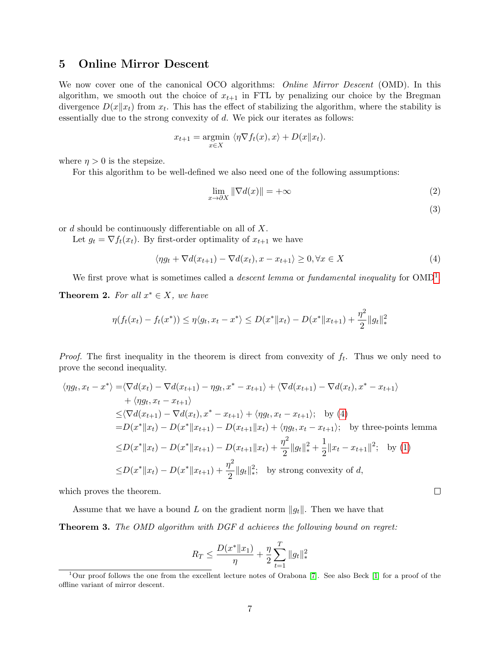# 5 Online Mirror Descent

We now cover one of the canonical OCO algorithms: *Online Mirror Descent* (OMD). In this algorithm, we smooth out the choice of  $x_{t+1}$  in FTL by penalizing our choice by the Bregman divergence  $D(x||x_t)$  from  $x_t$ . This has the effect of stabilizing the algorithm, where the stability is essentially due to the strong convexity of d. We pick our iterates as follows:

$$
x_{t+1} = \underset{x \in X}{\operatorname{argmin}} \langle \eta \nabla f_t(x), x \rangle + D(x||x_t).
$$

where  $\eta > 0$  is the stepsize.

For this algorithm to be well-defined we also need one of the following assumptions:

$$
\lim_{x \to \partial X} \|\nabla d(x)\| = +\infty \tag{2}
$$

<span id="page-6-1"></span>(3)

or d should be continuously differentiable on all of X.

Let  $g_t = \nabla f_t(x_t)$ . By first-order optimality of  $x_{t+1}$  we have

$$
\langle \eta g_t + \nabla d(x_{t+1}) - \nabla d(x_t), x - x_{t+1} \rangle \ge 0, \forall x \in X \tag{4}
$$

We first prove what is sometimes called a *descent lemma* or fundamental inequality for  $\text{OMD}^1$  $\text{OMD}^1$ .

<span id="page-6-2"></span>**Theorem 2.** For all  $x^* \in X$ , we have

$$
\eta(f_t(x_t) - f_t(x^*)) \le \eta \langle g_t, x_t - x^* \rangle \le D(x^* \| x_t) - D(x^* \| x_{t+1}) + \frac{\eta^2}{2} \| g_t \|_*^2
$$

*Proof.* The first inequality in the theorem is direct from convexity of  $f_t$ . Thus we only need to prove the second inequality.

$$
\langle \eta g_t, x_t - x^* \rangle = \langle \nabla d(x_t) - \nabla d(x_{t+1}) - \eta g_t, x^* - x_{t+1} \rangle + \langle \nabla d(x_{t+1}) - \nabla d(x_t), x^* - x_{t+1} \rangle
$$
  
+  $\langle \eta g_t, x_t - x_{t+1} \rangle$   
 $\leq \langle \nabla d(x_{t+1}) - \nabla d(x_t), x^* - x_{t+1} \rangle + \langle \eta g_t, x_t - x_{t+1} \rangle; \text{ by (4)}$   
=  $D(x^* \| x_t) - D(x^* \| x_{t+1}) - D(x_{t+1} \| x_t) + \langle \eta g_t, x_t - x_{t+1} \rangle; \text{ by three-points lemma}$   
 $\leq D(x^* \| x_t) - D(x^* \| x_{t+1}) - D(x_{t+1} \| x_t) + \frac{\eta^2}{2} \| g_t \|_*^2 + \frac{1}{2} \| x_t - x_{t+1} \|^2; \text{ by (1)}$   
 $\leq D(x^* \| x_t) - D(x^* \| x_{t+1}) + \frac{\eta^2}{2} \| g_t \|_*^2; \text{ by strong convexity of } d,$ 

which proves the theorem.

Assume that we have a bound L on the gradient norm  $||g_t||$ . Then we have that

Theorem 3. The OMD algorithm with DGF d achieves the following bound on regret:

$$
R_T \le \frac{D(x^* \| x_1)}{\eta} + \frac{\eta}{2} \sum_{t=1}^T \| g_t \|_*^2
$$

 $\Box$ 

<span id="page-6-0"></span><sup>&</sup>lt;sup>1</sup>Our proof follows the one from the excellent lecture notes of Orabona [\[7\]](#page-9-1). See also Beck [\[1\]](#page-9-2) for a proof of the offline variant of mirror descent.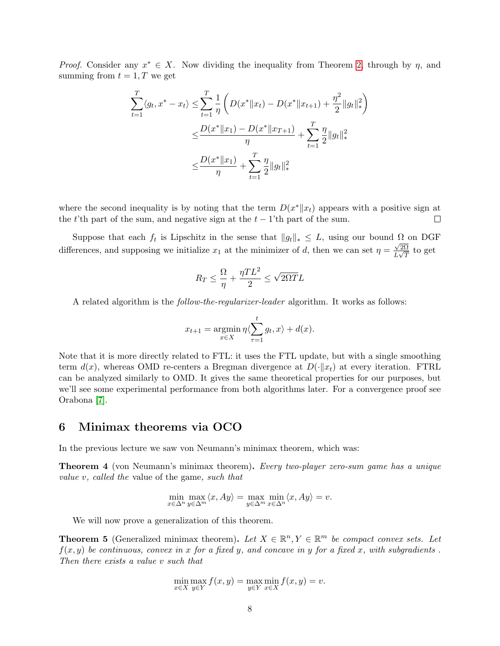*Proof.* Consider any  $x^* \in X$ . Now dividing the inequality from Theorem [2,](#page-6-2) through by  $\eta$ , and summing from  $t = 1, T$  we get

$$
\sum_{t=1}^{T} \langle g_t, x^* - x_t \rangle \leq \sum_{t=1}^{T} \frac{1}{\eta} \left( D(x^* \| x_t) - D(x^* \| x_{t+1}) + \frac{\eta^2}{2} \| g_t \|_{*}^2 \right)
$$
  

$$
\leq \frac{D(x^* \| x_1) - D(x^* \| x_{T+1})}{\eta} + \sum_{t=1}^{T} \frac{\eta}{2} \| g_t \|_{*}^2
$$
  

$$
\leq \frac{D(x^* \| x_1)}{\eta} + \sum_{t=1}^{T} \frac{\eta}{2} \| g_t \|_{*}^2
$$

where the second inequality is by noting that the term  $D(x^*||x_t)$  appears with a positive sign at the t'th part of the sum, and negative sign at the  $t-1$ 'th part of the sum.  $\Box$ 

Suppose that each  $f_t$  is Lipschitz in the sense that  $||g_t||_* \leq L$ , using our bound  $\Omega$  on DGF differences, and supposing we initialize  $x_1$  at the minimizer of d, then we can set  $\eta = \frac{\sqrt{2\Omega}}{L\sqrt{T}}$  $\frac{\sqrt{2\Omega}}{L\sqrt{T}}$  to get

$$
R_T \leq \frac{\Omega}{\eta} + \frac{\eta T L^2}{2} \leq \sqrt{2\Omega T}L
$$

A related algorithm is the follow-the-regularizer-leader algorithm. It works as follows:

$$
x_{t+1} = \operatorname*{argmin}_{x \in X} \eta \langle \sum_{\tau=1}^{t} g_t, x \rangle + d(x).
$$

Note that it is more directly related to FTL: it uses the FTL update, but with a single smoothing term  $d(x)$ , whereas OMD re-centers a Bregman divergence at  $D(\cdot||x_t)$  at every iteration. FTRL can be analyzed similarly to OMD. It gives the same theoretical properties for our purposes, but we'll see some experimental performance from both algorithms later. For a convergence proof see Orabona [\[7\]](#page-9-1).

#### 6 Minimax theorems via OCO

<span id="page-7-0"></span>In the previous lecture we saw von Neumann's minimax theorem, which was:

Theorem 4 (von Neumann's minimax theorem). Every two-player zero-sum game has a unique value v, called the value of the game, such that

$$
\min_{x \in \Delta^n} \max_{y \in \Delta^m} \langle x, Ay \rangle = \max_{y \in \Delta^m} \min_{x \in \Delta^n} \langle x, Ay \rangle = v.
$$

We will now prove a generalization of this theorem.

<span id="page-7-1"></span>**Theorem 5** (Generalized minimax theorem). Let  $X \in \mathbb{R}^n$ ,  $Y \in \mathbb{R}^m$  be compact convex sets. Let  $f(x, y)$  be continuous, convex in x for a fixed y, and concave in y for a fixed x, with subgradients. Then there exists a value v such that

$$
\min_{x \in X} \max_{y \in Y} f(x, y) = \max_{y \in Y} \min_{x \in X} f(x, y) = v.
$$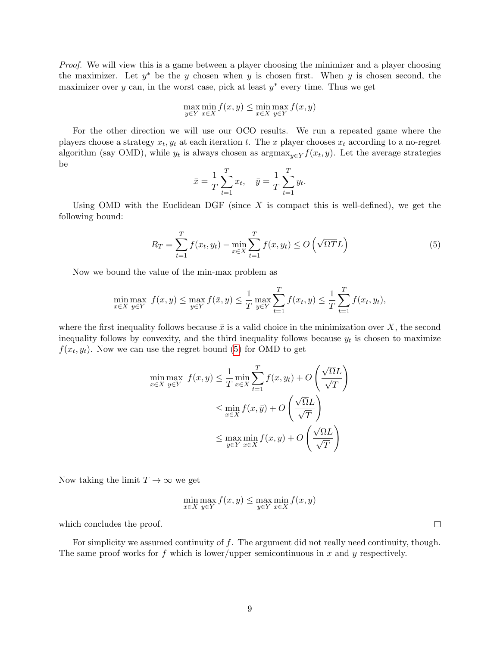Proof. We will view this is a game between a player choosing the minimizer and a player choosing the maximizer. Let  $y^*$  be the y chosen when y is chosen first. When y is chosen second, the maximizer over y can, in the worst case, pick at least  $y^*$  every time. Thus we get

$$
\max_{y \in Y} \min_{x \in X} f(x, y) \le \min_{x \in X} \max_{y \in Y} f(x, y)
$$

For the other direction we will use our OCO results. We run a repeated game where the players choose a strategy  $x_t, y_t$  at each iteration t. The x player chooses  $x_t$  according to a no-regret algorithm (say OMD), while  $y_t$  is always chosen as  $\argmax_{y \in Y} f(x_t, y)$ . Let the average strategies be

<span id="page-8-0"></span>
$$
\bar{x} = \frac{1}{T} \sum_{t=1}^{T} x_t, \quad \bar{y} = \frac{1}{T} \sum_{t=1}^{T} y_t.
$$

Using OMD with the Euclidean DGF (since  $X$  is compact this is well-defined), we get the following bound:

$$
R_T = \sum_{t=1}^T f(x_t, y_t) - \min_{x \in X} \sum_{t=1}^T f(x, y_t) \le O\left(\sqrt{\Omega T} L\right)
$$
\n<sup>(5)</sup>

Now we bound the value of the min-max problem as

$$
\min_{x \in X} \max_{y \in Y} f(x, y) \le \max_{y \in Y} f(\bar{x}, y) \le \frac{1}{T} \max_{y \in Y} \sum_{t=1}^{T} f(x_t, y) \le \frac{1}{T} \sum_{t=1}^{T} f(x_t, y_t),
$$

where the first inequality follows because  $\bar{x}$  is a valid choice in the minimization over X, the second inequality follows by convexity, and the third inequality follows because  $y_t$  is chosen to maximize  $f(x_t, y_t)$ . Now we can use the regret bound [\(5\)](#page-8-0) for OMD to get

$$
\min_{x \in X} \max_{y \in Y} f(x, y) \le \frac{1}{T} \min_{x \in X} \sum_{t=1}^{T} f(x, y_t) + O\left(\frac{\sqrt{\Omega}L}{\sqrt{T}}\right)
$$

$$
\le \min_{x \in X} f(x, \bar{y}) + O\left(\frac{\sqrt{\Omega}L}{\sqrt{T}}\right)
$$

$$
\le \max_{y \in Y} \min_{x \in X} f(x, y) + O\left(\frac{\sqrt{\Omega}L}{\sqrt{T}}\right)
$$

Now taking the limit  $T \to \infty$  we get

$$
\min_{x \in X} \max_{y \in Y} f(x, y) \le \max_{y \in Y} \min_{x \in X} f(x, y)
$$

which concludes the proof.

For simplicity we assumed continuity of  $f$ . The argument did not really need continuity, though. The same proof works for f which is lower/upper semicontinuous in x and y respectively.

 $\Box$